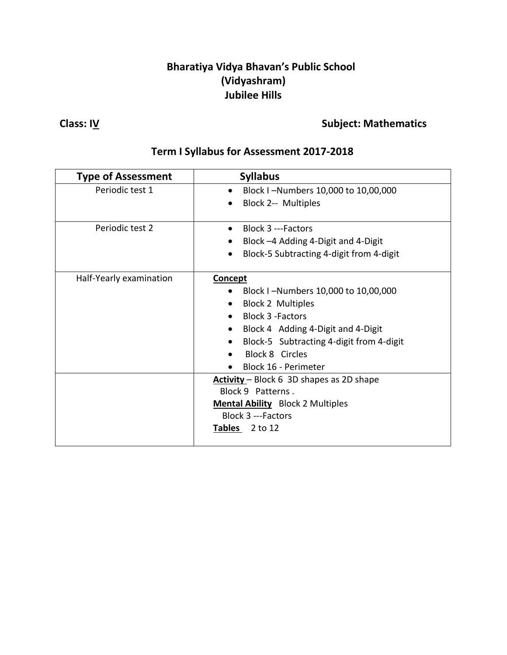#### **Bharatiya Vidya Bhavan's Public School (Vidyashram) Jubilee Hills**

## **Class:** IV **Class: IV Class: IV Class: IV Subject:** Mathematics

## **Term I Syllabus for Assessment 2017-2018**

| <b>Type of Assessment</b> | <b>Syllabus</b>                                                                                       |
|---------------------------|-------------------------------------------------------------------------------------------------------|
| Periodic test 1           | Block I-Numbers 10,000 to 10,00,000                                                                   |
|                           | Block 2-- Multiples                                                                                   |
| Periodic test 2           | Block 3 ---Factors<br>Block -4 Adding 4-Digit and 4-Digit<br>Block-5 Subtracting 4-digit from 4-digit |
|                           |                                                                                                       |
| Half-Yearly examination   | <b>Concept</b>                                                                                        |
|                           | Block I-Numbers 10,000 to 10,00,000                                                                   |
|                           | <b>Block 2 Multiples</b><br>$\bullet$                                                                 |
|                           | <b>Block 3 - Factors</b>                                                                              |
|                           | Block 4 Adding 4-Digit and 4-Digit                                                                    |
|                           | Block-5 Subtracting 4-digit from 4-digit                                                              |
|                           | <b>Block 8 Circles</b>                                                                                |
|                           | Block 16 - Perimeter                                                                                  |
|                           | Activity - Block 6 3D shapes as 2D shape                                                              |
|                           | Block 9 Patterns.                                                                                     |
|                           | <b>Mental Ability</b> Block 2 Multiples                                                               |
|                           | <b>Block 3 ---Factors</b>                                                                             |
|                           | <b>Tables</b><br>2 to 12                                                                              |